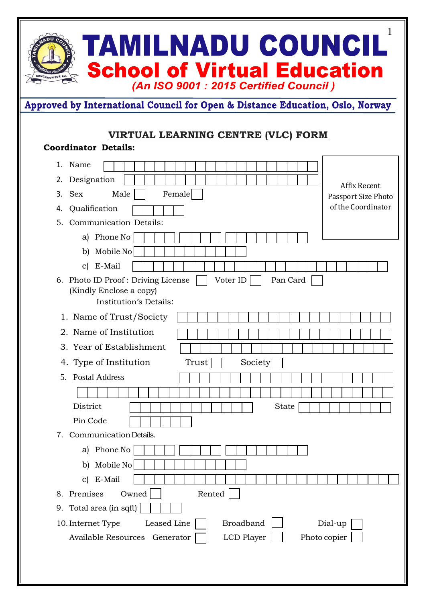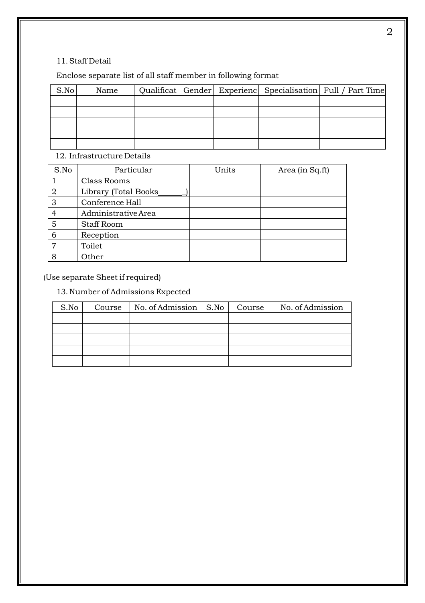### 11.Staff Detail

## Enclose separate list of all staff member in following format

| S.No | Name |  |  | Qualificat Gender Experienc Specialisation Full / Part Time |
|------|------|--|--|-------------------------------------------------------------|
|      |      |  |  |                                                             |
|      |      |  |  |                                                             |
|      |      |  |  |                                                             |
|      |      |  |  |                                                             |
|      |      |  |  |                                                             |

## 12. Infrastructure Details

| S.No           | Particular           | Units | Area (in Sq.ft) |
|----------------|----------------------|-------|-----------------|
|                | Class Rooms          |       |                 |
| $\overline{2}$ | Library (Total Books |       |                 |
| 3              | Conference Hall      |       |                 |
| 4              | Administrative Area  |       |                 |
| 5              | <b>Staff Room</b>    |       |                 |
| 6              | Reception            |       |                 |
| 7              | Toilet               |       |                 |
| 8              | Other                |       |                 |

(Use separate Sheet if required)

# 13. Number of Admissions Expected

| S.No | Course | No. of Admission S.No | Course | No. of Admission |
|------|--------|-----------------------|--------|------------------|
|      |        |                       |        |                  |
|      |        |                       |        |                  |
|      |        |                       |        |                  |
|      |        |                       |        |                  |
|      |        |                       |        |                  |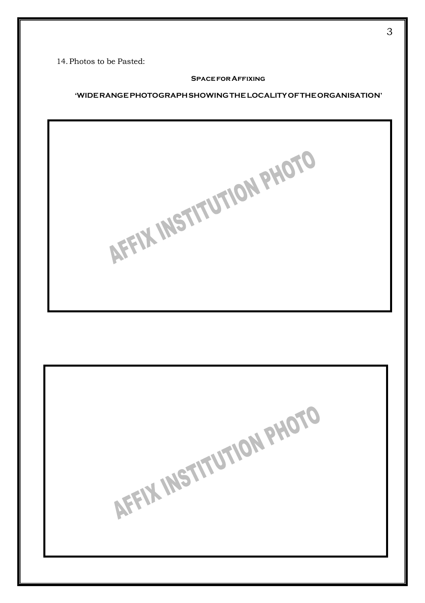14.Photos to be Pasted:

#### **SPACE FOR AFFIXING**

### **'WIDERANGEPHOTOGRAPHSHOWINGTHELOCALITYOFTHEORGANISATION'**